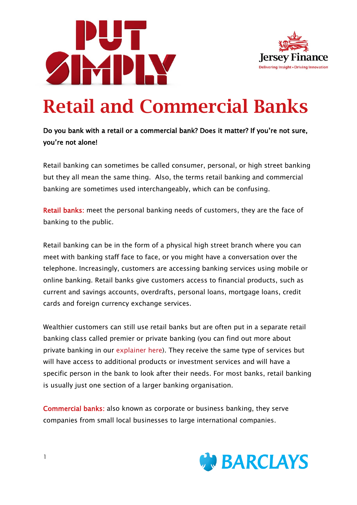



# Retail and Commercial Banks

### Do you bank with a retail or a commercial bank? Does it matter? If you're not sure, you're not alone!

Retail banking can sometimes be called consumer, personal, or high street banking but they all mean the same thing. Also, the terms retail banking and commercial banking are sometimes used interchangeably, which can be confusing.

Retail banks: meet the personal banking needs of customers, they are the face of banking to the public.

Retail banking can be in the form of a physical high street branch where you can meet with banking staff face to face, or you might have a conversation over the telephone. Increasingly, customers are accessing banking services using mobile or online banking. Retail banks give customers access to financial products, such as current and savings accounts, overdrafts, personal loans, mortgage loans, credit cards and foreign currency exchange services.

Wealthier customers can still use retail banks but are often put in a separate retail banking class called premier or private banking (you can find out more about private banking in our [explainer here\)](https://www.jerseyfinance.je/wp-content/uploads/2020/11/JFL-Private-Banking-and-Wealth-Management.pdf). They receive the same type of services but will have access to additional products or investment services and will have a specific person in the bank to look after their needs. For most banks, retail banking is usually just one section of a larger banking organisation.

Commercial banks: also known as corporate or business banking, they serve companies from small local businesses to large international companies.

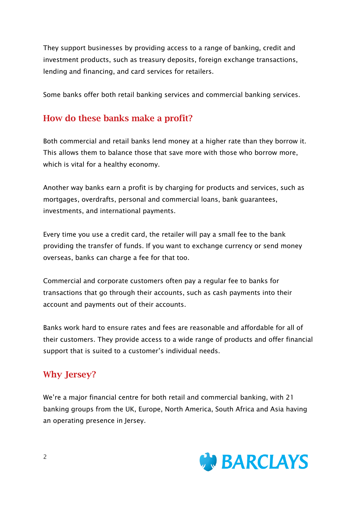They support businesses by providing access to a range of banking, credit and investment products, such as treasury deposits, foreign exchange transactions, lending and financing, and card services for retailers.

Some banks offer both retail banking services and commercial banking services.

# How do these banks make a profit?

Both commercial and retail banks lend money at a higher rate than they borrow it. This allows them to balance those that save more with those who borrow more, which is vital for a healthy economy.

Another way banks earn a profit is by charging for products and services, such as mortgages, overdrafts, personal and commercial loans, bank guarantees, investments, and international payments.

Every time you use a credit card, the retailer will pay a small fee to the bank providing the transfer of funds. If you want to exchange currency or send money overseas, banks can charge a fee for that too.

Commercial and corporate customers often pay a regular fee to banks for transactions that go through their accounts, such as cash payments into their account and payments out of their accounts.

Banks work hard to ensure rates and fees are reasonable and affordable for all of their customers. They provide access to a wide range of products and offer financial support that is suited to a customer's individual needs.

# Why Jersey?

We're a major financial centre for both retail and commercial banking, with 21 banking groups from the UK, Europe, North America, South Africa and Asia having an operating presence in Jersey.

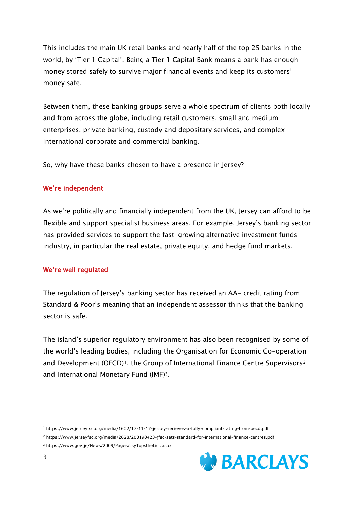This includes the main UK retail banks and nearly half of the top 25 banks in the world, by 'Tier 1 Capital'. Being a Tier 1 Capital Bank means a bank has enough money stored safely to survive major financial events and keep its customers' money safe.

Between them, these banking groups serve a whole spectrum of clients both locally and from across the globe, including retail customers, small and medium enterprises, private banking, custody and depositary services, and complex international corporate and commercial banking.

So, why have these banks chosen to have a presence in Jersey?

#### We're independent

As we're politically and financially independent from the UK, Jersey can afford to be flexible and support specialist business areas. For example, Jersey's banking sector has provided services to support the fast-growing alternative investment funds industry, in particular the real estate, private equity, and hedge fund markets.

#### We're well regulated

The regulation of Jersey's banking sector has received an AA- credit rating from Standard & Poor's meaning that an independent assessor thinks that the banking sector is safe.

The island's superior regulatory environment has also been recognised by some of the world's leading bodies, including the Organisation for Economic Co-operation and Development (OECD)<sup>1</sup>, the Group of International Finance Centre Supervisors<sup>2</sup> and International Monetary Fund (IMF)3.

<sup>2</sup> <https://www.jerseyfsc.org/media/2628/200190423-jfsc-sets-standard-for-international-finance-centres.pdf> <sup>3</sup> <https://www.gov.je/News/2009/Pages/JsyTopstheList.aspx>



<sup>1</sup> <https://www.jerseyfsc.org/media/1602/17-11-17-jersey-recieves-a-fully-compliant-rating-from-oecd.pdf>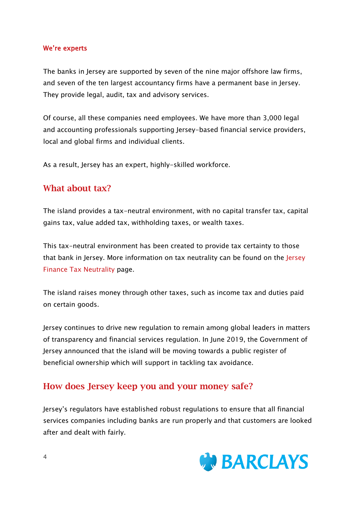#### We're experts

The banks in Jersey are supported by seven of the nine major offshore law firms, and seven of the ten largest accountancy firms have a permanent base in Jersey. They provide legal, audit, tax and advisory services.

Of course, all these companies need employees. We have more than 3,000 legal and accounting professionals supporting Jersey-based financial service providers, local and global firms and individual clients.

As a result, Jersey has an expert, highly-skilled workforce.

## What about tax?

The island provides a tax-neutral environment, with no capital transfer tax, capital gains tax, value added tax, withholding taxes, or wealth taxes.

This tax-neutral environment has been created to provide tax certainty to those that bank in Jersey. More information on tax neutrality can be found on the [Jersey](https://www.jerseyfinance.je/our-work/tax-neutrality/)  [Finance Tax Neutrality](https://www.jerseyfinance.je/our-work/tax-neutrality/) page.

The island raises money through other taxes, such as income tax and duties paid on certain goods.

Jersey continues to drive new regulation to remain among global leaders in matters of transparency and financial services regulation. In June 2019, the Government of Jersey announced that the island will be moving towards a public register of beneficial ownership which will support in tackling tax avoidance.

# How does Jersey keep you and your money safe?

Jersey's regulators have established robust regulations to ensure that all financial services companies including banks are run properly and that customers are looked after and dealt with fairly.